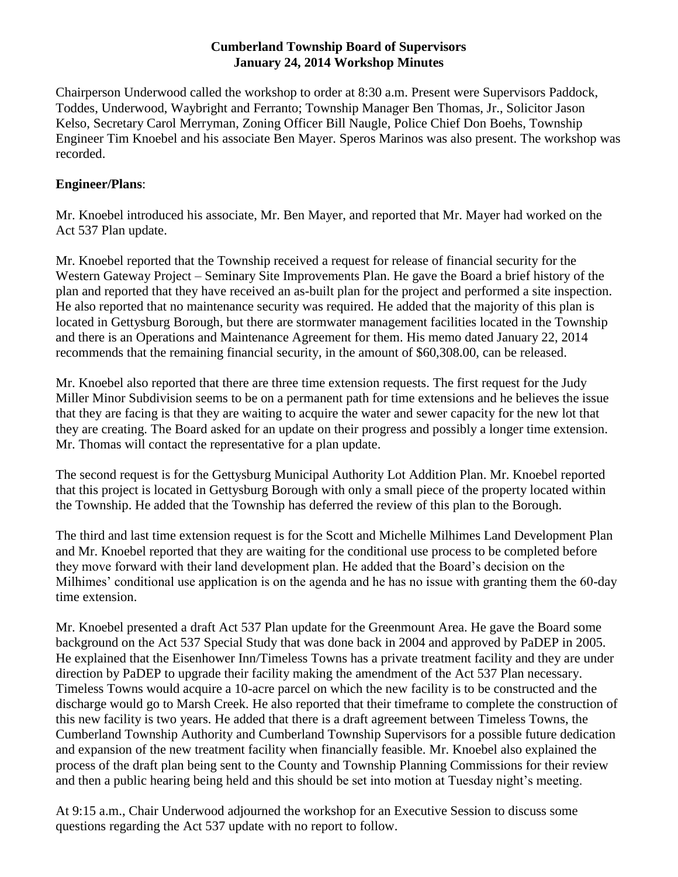### **Cumberland Township Board of Supervisors January 24, 2014 Workshop Minutes**

Chairperson Underwood called the workshop to order at 8:30 a.m. Present were Supervisors Paddock, Toddes, Underwood, Waybright and Ferranto; Township Manager Ben Thomas, Jr., Solicitor Jason Kelso, Secretary Carol Merryman, Zoning Officer Bill Naugle, Police Chief Don Boehs, Township Engineer Tim Knoebel and his associate Ben Mayer. Speros Marinos was also present. The workshop was recorded.

# **Engineer/Plans**:

Mr. Knoebel introduced his associate, Mr. Ben Mayer, and reported that Mr. Mayer had worked on the Act 537 Plan update.

Mr. Knoebel reported that the Township received a request for release of financial security for the Western Gateway Project – Seminary Site Improvements Plan. He gave the Board a brief history of the plan and reported that they have received an as-built plan for the project and performed a site inspection. He also reported that no maintenance security was required. He added that the majority of this plan is located in Gettysburg Borough, but there are stormwater management facilities located in the Township and there is an Operations and Maintenance Agreement for them. His memo dated January 22, 2014 recommends that the remaining financial security, in the amount of \$60,308.00, can be released.

Mr. Knoebel also reported that there are three time extension requests. The first request for the Judy Miller Minor Subdivision seems to be on a permanent path for time extensions and he believes the issue that they are facing is that they are waiting to acquire the water and sewer capacity for the new lot that they are creating. The Board asked for an update on their progress and possibly a longer time extension. Mr. Thomas will contact the representative for a plan update.

The second request is for the Gettysburg Municipal Authority Lot Addition Plan. Mr. Knoebel reported that this project is located in Gettysburg Borough with only a small piece of the property located within the Township. He added that the Township has deferred the review of this plan to the Borough.

The third and last time extension request is for the Scott and Michelle Milhimes Land Development Plan and Mr. Knoebel reported that they are waiting for the conditional use process to be completed before they move forward with their land development plan. He added that the Board's decision on the Milhimes' conditional use application is on the agenda and he has no issue with granting them the 60-day time extension.

Mr. Knoebel presented a draft Act 537 Plan update for the Greenmount Area. He gave the Board some background on the Act 537 Special Study that was done back in 2004 and approved by PaDEP in 2005. He explained that the Eisenhower Inn/Timeless Towns has a private treatment facility and they are under direction by PaDEP to upgrade their facility making the amendment of the Act 537 Plan necessary. Timeless Towns would acquire a 10-acre parcel on which the new facility is to be constructed and the discharge would go to Marsh Creek. He also reported that their timeframe to complete the construction of this new facility is two years. He added that there is a draft agreement between Timeless Towns, the Cumberland Township Authority and Cumberland Township Supervisors for a possible future dedication and expansion of the new treatment facility when financially feasible. Mr. Knoebel also explained the process of the draft plan being sent to the County and Township Planning Commissions for their review and then a public hearing being held and this should be set into motion at Tuesday night's meeting.

At 9:15 a.m., Chair Underwood adjourned the workshop for an Executive Session to discuss some questions regarding the Act 537 update with no report to follow.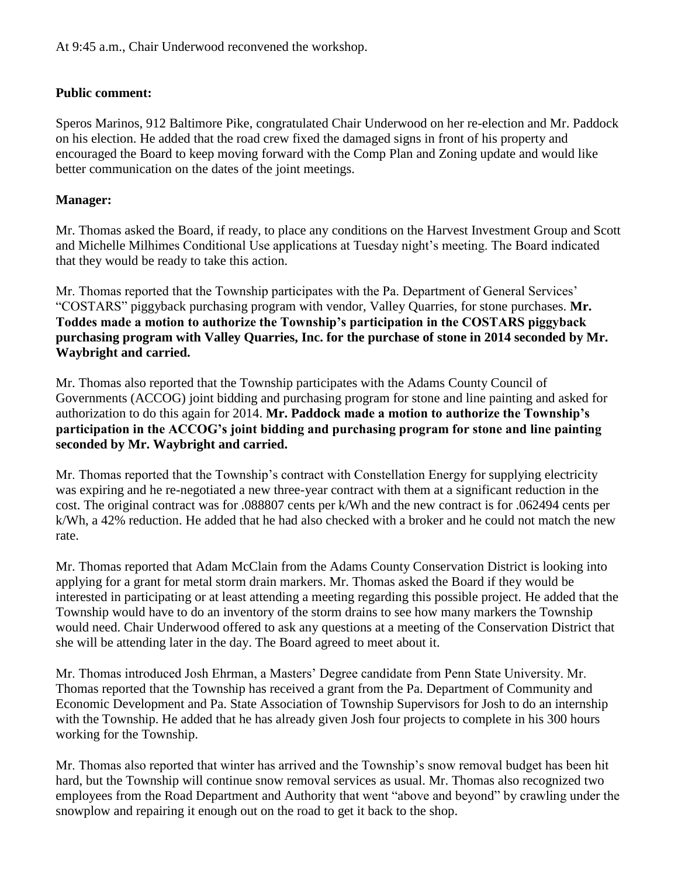# **Public comment:**

Speros Marinos, 912 Baltimore Pike, congratulated Chair Underwood on her re-election and Mr. Paddock on his election. He added that the road crew fixed the damaged signs in front of his property and encouraged the Board to keep moving forward with the Comp Plan and Zoning update and would like better communication on the dates of the joint meetings.

# **Manager:**

Mr. Thomas asked the Board, if ready, to place any conditions on the Harvest Investment Group and Scott and Michelle Milhimes Conditional Use applications at Tuesday night's meeting. The Board indicated that they would be ready to take this action.

Mr. Thomas reported that the Township participates with the Pa. Department of General Services' "COSTARS" piggyback purchasing program with vendor, Valley Quarries, for stone purchases. **Mr. Toddes made a motion to authorize the Township's participation in the COSTARS piggyback purchasing program with Valley Quarries, Inc. for the purchase of stone in 2014 seconded by Mr. Waybright and carried.** 

Mr. Thomas also reported that the Township participates with the Adams County Council of Governments (ACCOG) joint bidding and purchasing program for stone and line painting and asked for authorization to do this again for 2014. **Mr. Paddock made a motion to authorize the Township's participation in the ACCOG's joint bidding and purchasing program for stone and line painting seconded by Mr. Waybright and carried.**

Mr. Thomas reported that the Township's contract with Constellation Energy for supplying electricity was expiring and he re-negotiated a new three-year contract with them at a significant reduction in the cost. The original contract was for .088807 cents per k/Wh and the new contract is for .062494 cents per k/Wh, a 42% reduction. He added that he had also checked with a broker and he could not match the new rate.

Mr. Thomas reported that Adam McClain from the Adams County Conservation District is looking into applying for a grant for metal storm drain markers. Mr. Thomas asked the Board if they would be interested in participating or at least attending a meeting regarding this possible project. He added that the Township would have to do an inventory of the storm drains to see how many markers the Township would need. Chair Underwood offered to ask any questions at a meeting of the Conservation District that she will be attending later in the day. The Board agreed to meet about it.

Mr. Thomas introduced Josh Ehrman, a Masters' Degree candidate from Penn State University. Mr. Thomas reported that the Township has received a grant from the Pa. Department of Community and Economic Development and Pa. State Association of Township Supervisors for Josh to do an internship with the Township. He added that he has already given Josh four projects to complete in his 300 hours working for the Township.

Mr. Thomas also reported that winter has arrived and the Township's snow removal budget has been hit hard, but the Township will continue snow removal services as usual. Mr. Thomas also recognized two employees from the Road Department and Authority that went "above and beyond" by crawling under the snowplow and repairing it enough out on the road to get it back to the shop.